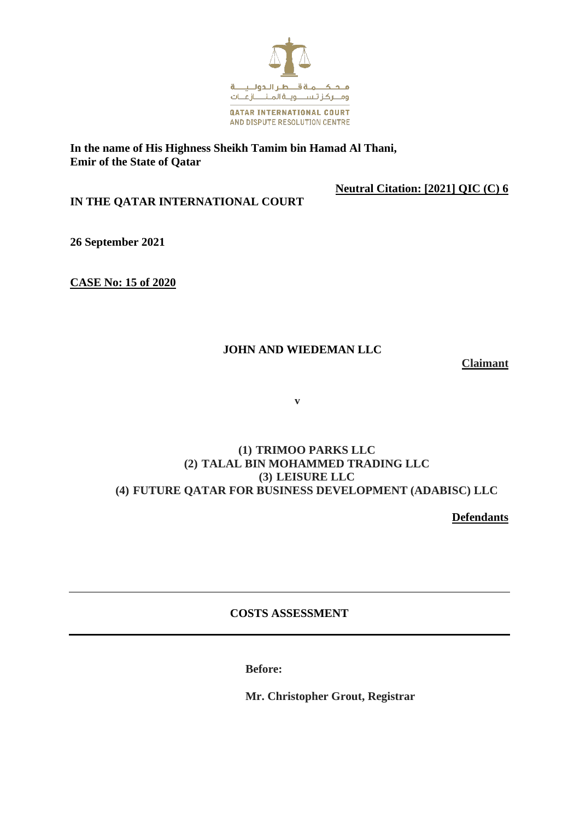

### **In the name of His Highness Sheikh Tamim bin Hamad Al Thani, Emir of the State of Qatar**

**Neutral Citation: [2021] QIC (C) 6**

**IN THE QATAR INTERNATIONAL COURT**

**26 September 2021**

**CASE No: 15 of 2020**

# **JOHN AND WIEDEMAN LLC**

**Claimant**

 **v**

### **(1) TRIMOO PARKS LLC (2) TALAL BIN MOHAMMED TRADING LLC (3) LEISURE LLC (4) FUTURE QATAR FOR BUSINESS DEVELOPMENT (ADABISC) LLC**

**Defendants**

## **COSTS ASSESSMENT**

**Before:**

**Mr. Christopher Grout, Registrar**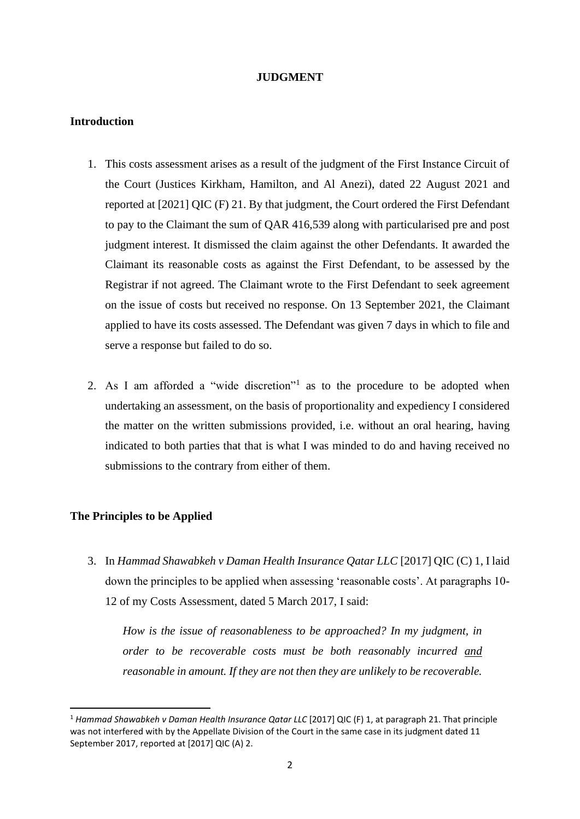#### **JUDGMENT**

#### **Introduction**

- 1. This costs assessment arises as a result of the judgment of the First Instance Circuit of the Court (Justices Kirkham, Hamilton, and Al Anezi), dated 22 August 2021 and reported at [2021] QIC (F) 21. By that judgment, the Court ordered the First Defendant to pay to the Claimant the sum of QAR 416,539 along with particularised pre and post judgment interest. It dismissed the claim against the other Defendants. It awarded the Claimant its reasonable costs as against the First Defendant, to be assessed by the Registrar if not agreed. The Claimant wrote to the First Defendant to seek agreement on the issue of costs but received no response. On 13 September 2021, the Claimant applied to have its costs assessed. The Defendant was given 7 days in which to file and serve a response but failed to do so.
- 2. As I am afforded a "wide discretion"<sup>1</sup> as to the procedure to be adopted when undertaking an assessment, on the basis of proportionality and expediency I considered the matter on the written submissions provided, i.e. without an oral hearing, having indicated to both parties that that is what I was minded to do and having received no submissions to the contrary from either of them.

### **The Principles to be Applied**

3. In *Hammad Shawabkeh v Daman Health Insurance Qatar LLC* [2017] QIC (C) 1, I laid down the principles to be applied when assessing 'reasonable costs'. At paragraphs 10- 12 of my Costs Assessment, dated 5 March 2017, I said:

*How is the issue of reasonableness to be approached? In my judgment, in order to be recoverable costs must be both reasonably incurred and reasonable in amount. If they are not then they are unlikely to be recoverable.* 

<sup>1</sup> *Hammad Shawabkeh v Daman Health Insurance Qatar LLC* [2017] QIC (F) 1, at paragraph 21. That principle was not interfered with by the Appellate Division of the Court in the same case in its judgment dated 11 September 2017, reported at [2017] QIC (A) 2.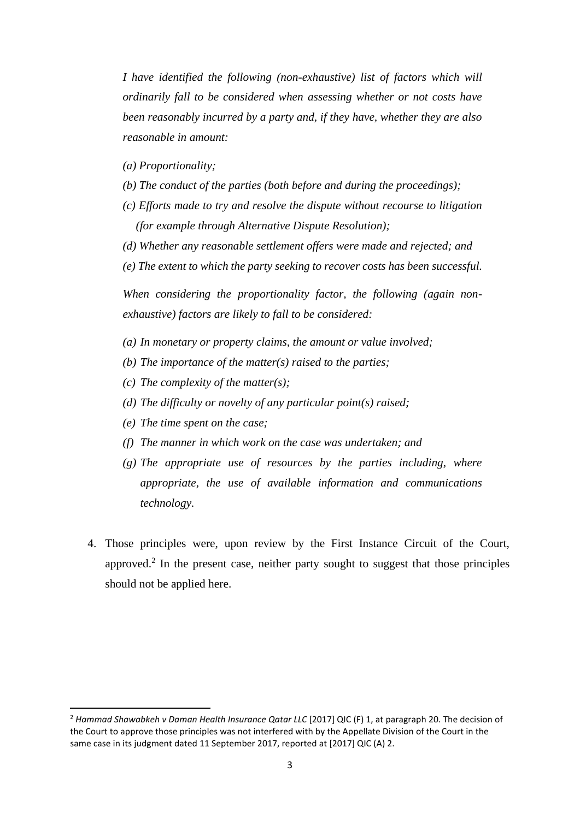*I have identified the following (non-exhaustive) list of factors which will ordinarily fall to be considered when assessing whether or not costs have been reasonably incurred by a party and, if they have, whether they are also reasonable in amount:*

*(a) Proportionality;* 

- *(b) The conduct of the parties (both before and during the proceedings);*
- *(c) Efforts made to try and resolve the dispute without recourse to litigation (for example through Alternative Dispute Resolution);*
- *(d) Whether any reasonable settlement offers were made and rejected; and*
- *(e) The extent to which the party seeking to recover costs has been successful.*

*When considering the proportionality factor, the following (again nonexhaustive) factors are likely to fall to be considered:*

- *(a) In monetary or property claims, the amount or value involved;*
- *(b) The importance of the matter(s) raised to the parties;*
- *(c) The complexity of the matter(s);*
- *(d) The difficulty or novelty of any particular point(s) raised;*
- *(e) The time spent on the case;*
- *(f) The manner in which work on the case was undertaken; and*
- *(g) The appropriate use of resources by the parties including, where appropriate, the use of available information and communications technology.*
- 4. Those principles were, upon review by the First Instance Circuit of the Court, approved.<sup>2</sup> In the present case, neither party sought to suggest that those principles should not be applied here.

<sup>&</sup>lt;sup>2</sup> Hammad Shawabkeh v Daman Health Insurance Qatar LLC [2017] QIC (F) 1, at paragraph 20. The decision of the Court to approve those principles was not interfered with by the Appellate Division of the Court in the same case in its judgment dated 11 September 2017, reported at [2017] QIC (A) 2.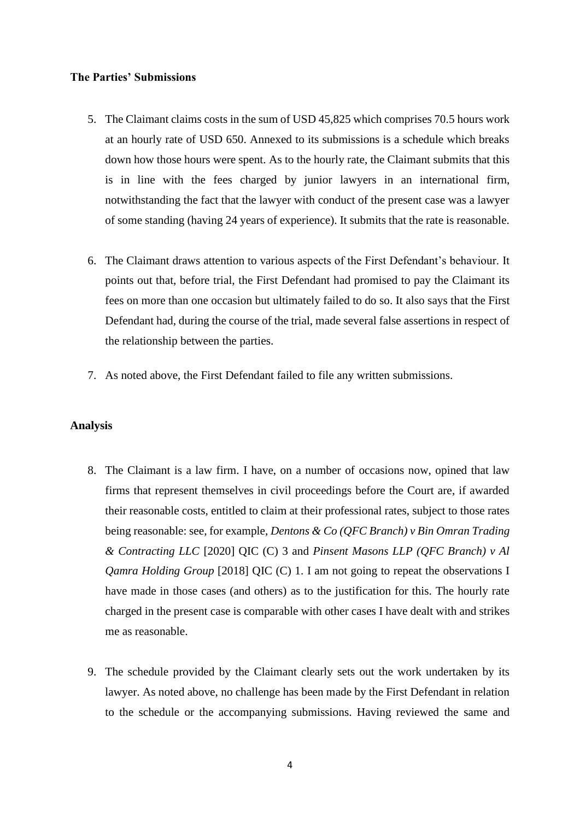## **The Parties' Submissions**

- 5. The Claimant claims costs in the sum of USD 45,825 which comprises 70.5 hours work at an hourly rate of USD 650. Annexed to its submissions is a schedule which breaks down how those hours were spent. As to the hourly rate, the Claimant submits that this is in line with the fees charged by junior lawyers in an international firm, notwithstanding the fact that the lawyer with conduct of the present case was a lawyer of some standing (having 24 years of experience). It submits that the rate is reasonable.
- 6. The Claimant draws attention to various aspects of the First Defendant's behaviour. It points out that, before trial, the First Defendant had promised to pay the Claimant its fees on more than one occasion but ultimately failed to do so. It also says that the First Defendant had, during the course of the trial, made several false assertions in respect of the relationship between the parties.
- 7. As noted above, the First Defendant failed to file any written submissions.

#### **Analysis**

- 8. The Claimant is a law firm. I have, on a number of occasions now, opined that law firms that represent themselves in civil proceedings before the Court are, if awarded their reasonable costs, entitled to claim at their professional rates, subject to those rates being reasonable: see, for example, *Dentons & Co (QFC Branch) v Bin Omran Trading & Contracting LLC* [2020] QIC (C) 3 and *Pinsent Masons LLP (QFC Branch) v Al Qamra Holding Group* [2018] QIC (C) 1. I am not going to repeat the observations I have made in those cases (and others) as to the justification for this. The hourly rate charged in the present case is comparable with other cases I have dealt with and strikes me as reasonable.
- 9. The schedule provided by the Claimant clearly sets out the work undertaken by its lawyer. As noted above, no challenge has been made by the First Defendant in relation to the schedule or the accompanying submissions. Having reviewed the same and